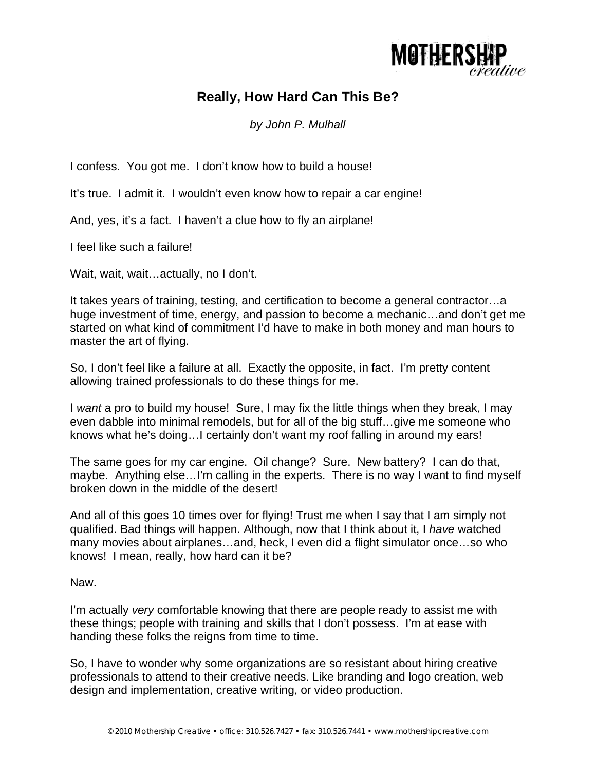

## **Really, How Hard Can This Be?**

*by John P. Mulhall* 

I confess. You got me. I don't know how to build a house!

It's true. I admit it. I wouldn't even know how to repair a car engine!

And, yes, it's a fact. I haven't a clue how to fly an airplane!

I feel like such a failure!

Wait, wait, wait...actually, no I don't.

It takes years of training, testing, and certification to become a general contractor…a huge investment of time, energy, and passion to become a mechanic…and don't get me started on what kind of commitment I'd have to make in both money and man hours to master the art of flying.

So, I don't feel like a failure at all. Exactly the opposite, in fact. I'm pretty content allowing trained professionals to do these things for me.

I *want* a pro to build my house! Sure, I may fix the little things when they break, I may even dabble into minimal remodels, but for all of the big stuff…give me someone who knows what he's doing…I certainly don't want my roof falling in around my ears!

The same goes for my car engine. Oil change? Sure. New battery? I can do that, maybe. Anything else…I'm calling in the experts. There is no way I want to find myself broken down in the middle of the desert!

And all of this goes 10 times over for flying! Trust me when I say that I am simply not qualified. Bad things will happen. Although, now that I think about it, I *have* watched many movies about airplanes…and, heck, I even did a flight simulator once…so who knows! I mean, really, how hard can it be?

Naw.

I'm actually *very* comfortable knowing that there are people ready to assist me with these things; people with training and skills that I don't possess. I'm at ease with handing these folks the reigns from time to time.

So, I have to wonder why some organizations are so resistant about hiring creative professionals to attend to their creative needs. Like branding and logo creation, web design and implementation, creative writing, or video production.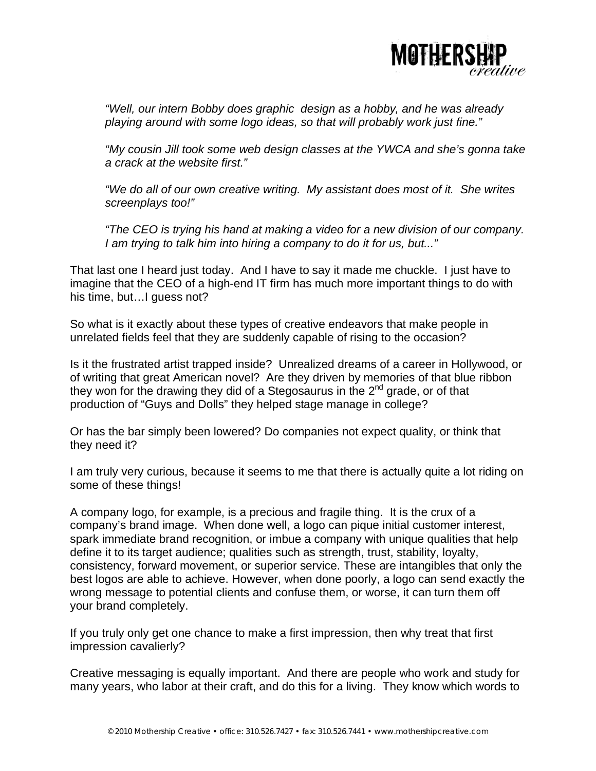

*"Well, our intern Bobby does graphic design as a hobby, and he was already playing around with some logo ideas, so that will probably work just fine."* 

*"My cousin Jill took some web design classes at the YWCA and she's gonna take a crack at the website first."* 

*"We do all of our own creative writing. My assistant does most of it. She writes screenplays too!"* 

*"The CEO is trying his hand at making a video for a new division of our company. I am trying to talk him into hiring a company to do it for us, but..."* 

That last one I heard just today. And I have to say it made me chuckle. I just have to imagine that the CEO of a high-end IT firm has much more important things to do with his time, but…I guess not?

So what is it exactly about these types of creative endeavors that make people in unrelated fields feel that they are suddenly capable of rising to the occasion?

Is it the frustrated artist trapped inside? Unrealized dreams of a career in Hollywood, or of writing that great American novel? Are they driven by memories of that blue ribbon they won for the drawing they did of a Stegosaurus in the  $2^{nd}$  grade, or of that production of "Guys and Dolls" they helped stage manage in college?

Or has the bar simply been lowered? Do companies not expect quality, or think that they need it?

I am truly very curious, because it seems to me that there is actually quite a lot riding on some of these things!

A company logo, for example, is a precious and fragile thing. It is the crux of a company's brand image. When done well, a logo can pique initial customer interest, spark immediate brand recognition, or imbue a company with unique qualities that help define it to its target audience; qualities such as strength, trust, stability, loyalty, consistency, forward movement, or superior service. These are intangibles that only the best logos are able to achieve. However, when done poorly, a logo can send exactly the wrong message to potential clients and confuse them, or worse, it can turn them off your brand completely.

If you truly only get one chance to make a first impression, then why treat that first impression cavalierly?

Creative messaging is equally important. And there are people who work and study for many years, who labor at their craft, and do this for a living. They know which words to